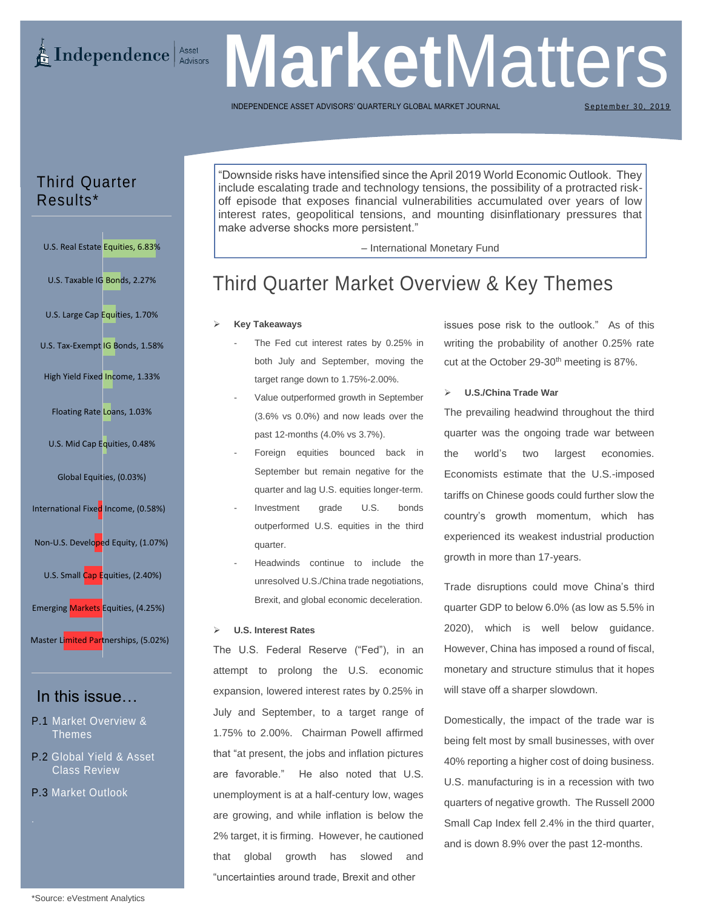# **E** Independence Asset

# **Market** Matters

INDEPENDENCE ASSET ADVISORS' QUARTERLY GLOBAL MARKET

September 30, 2019

## Third Quarter Results\*

U.S. Real Estate Equities, 6.83% U.S. Taxable IG Bonds, 2.27% U.S. Large Cap Equities, 1.70% U.S. Tax-Exempt IG Bonds, 1.58% High Yield Fixed Income, 1.33% Floating Rate Loans, 1.03% U.S. Mid Cap Equities, 0.48% Global Equities, (0.03%) International Fixed Income, (0.58%) Non-U.S. Developed Equity, (1.07%) U.S. Small Cap Equities, (2.40%) Emerging Markets Equities, (4.25%) Master Limited Partnerships, (5.02%)

## In this issue…

- P.1 Market Overview & Themes
- P.2 Global Yield & Asset Class Review
- P.3 Market Outlook

"Downside risks have intensified since the April 2019 World Economic Outlook. They include escalating trade and technology tensions, the possibility of a protracted riskoff episode that exposes financial vulnerabilities accumulated over years of low interest rates, geopolitical tensions, and mounting disinflationary pressures that make adverse shocks more persistent."

– International Monetary Fund

## Third Quarter Market Overview & Key Themes

#### ➢ **Key Takeaways**

- The Fed cut interest rates by 0.25% in both July and September, moving the target range down to 1.75%-2.00%.
- Value outperformed growth in September (3.6% vs 0.0%) and now leads over the past 12-months (4.0% vs 3.7%).
- Foreign equities bounced back in September but remain negative for the quarter and lag U.S. equities longer-term.
- Investment grade U.S. bonds outperformed U.S. equities in the third quarter.
- Headwinds continue to include the unresolved U.S./China trade negotiations, Brexit, and global economic deceleration.

#### ➢ **U.S. Interest Rates**

The U.S. Federal Reserve ("Fed"), in an attempt to prolong the U.S. economic expansion, lowered interest rates by 0.25% in July and September, to a target range of 1.75% to 2.00%. Chairman Powell affirmed that "at present, the jobs and inflation pictures are favorable." He also noted that U.S. unemployment is at a half-century low, wages are growing, and while inflation is below the 2% target, it is firming. However, he cautioned that global growth has slowed and "uncertainties around trade, Brexit and other

issues pose risk to the outlook." As of this writing the probability of another 0.25% rate cut at the October 29-30<sup>th</sup> meeting is 87%.

#### ➢ **U.S./China Trade War**

The prevailing headwind throughout the third quarter was the ongoing trade war between the world's two largest economies. Economists estimate that the U.S.-imposed tariffs on Chinese goods could further slow the country's growth momentum, which has experienced its weakest industrial production growth in more than 17-years.

Trade disruptions could move China's third quarter GDP to below 6.0% (as low as 5.5% in 2020), which is well below guidance. However, China has imposed a round of fiscal, monetary and structure stimulus that it hopes will stave off a sharper slowdown.

Domestically, the impact of the trade war is being felt most by small businesses, with over 40% reporting a higher cost of doing business. U.S. manufacturing is in a recession with two quarters of negative growth. The Russell 2000 Small Cap Index fell 2.4% in the third quarter, and is down 8.9% over the past 12-months.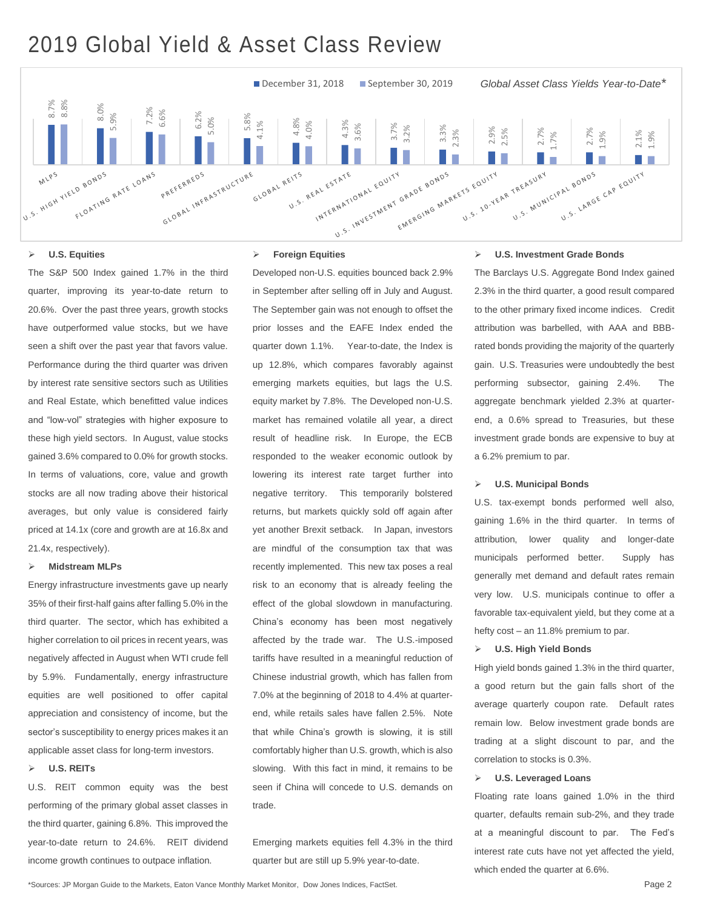## 2019 Global Yield & Asset Class Review



#### ➢ **U.S. Equities**

The S&P 500 Index gained 1.7% in the third quarter, improving its year-to-date return to 20.6%. Over the past three years, growth stocks have outperformed value stocks, but we have seen a shift over the past year that favors value. Performance during the third quarter was driven by interest rate sensitive sectors such as Utilities and Real Estate, which benefitted value indices and "low-vol" strategies with higher exposure to these high yield sectors. In August, value stocks gained 3.6% compared to 0.0% for growth stocks. In terms of valuations, core, value and growth stocks are all now trading above their historical averages, but only value is considered fairly priced at 14.1x (core and growth are at 16.8x and 21.4x, respectively).

#### ➢ **Midstream MLPs**

Energy infrastructure investments gave up nearly 35% of their first-half gains after falling 5.0% in the third quarter. The sector, which has exhibited a higher correlation to oil prices in recent years, was negatively affected in August when WTI crude fell by 5.9%. Fundamentally, energy infrastructure equities are well positioned to offer capital appreciation and consistency of income, but the sector's susceptibility to energy prices makes it an applicable asset class for long-term investors.

#### ➢ **U.S. REITs**

U.S. REIT common equity was the best performing of the primary global asset classes in the third quarter, gaining 6.8%. This improved the year-to-date return to 24.6%. REIT dividend income growth continues to outpace inflation.

#### ➢ **Foreign Equities**

Developed non-U.S. equities bounced back 2.9% in September after selling off in July and August. The September gain was not enough to offset the prior losses and the EAFE Index ended the quarter down 1.1%. Year-to-date, the Index is up 12.8%, which compares favorably against emerging markets equities, but lags the U.S. equity market by 7.8%. The Developed non-U.S. market has remained volatile all year, a direct result of headline risk. In Europe, the ECB responded to the weaker economic outlook by lowering its interest rate target further into negative territory. This temporarily bolstered returns, but markets quickly sold off again after yet another Brexit setback. In Japan, investors are mindful of the consumption tax that was recently implemented. This new tax poses a real risk to an economy that is already feeling the effect of the global slowdown in manufacturing. China's economy has been most negatively affected by the trade war. The U.S.-imposed tariffs have resulted in a meaningful reduction of Chinese industrial growth, which has fallen from 7.0% at the beginning of 2018 to 4.4% at quarterend, while retails sales have fallen 2.5%. Note that while China's growth is slowing, it is still comfortably higher than U.S. growth, which is also slowing. With this fact in mind, it remains to be seen if China will concede to U.S. demands on trade.

Emerging markets equities fell 4.3% in the third quarter but are still up 5.9% year-to-date.

#### ➢ **U.S. Investment Grade Bonds**

The Barclays U.S. Aggregate Bond Index gained 2.3% in the third quarter, a good result compared to the other primary fixed income indices. Credit attribution was barbelled, with AAA and BBBrated bonds providing the majority of the quarterly gain. U.S. Treasuries were undoubtedly the best performing subsector, gaining 2.4%. The aggregate benchmark yielded 2.3% at quarterend, a 0.6% spread to Treasuries, but these investment grade bonds are expensive to buy at a 6.2% premium to par.

#### ➢ **U.S. Municipal Bonds**

U.S. tax-exempt bonds performed well also, gaining 1.6% in the third quarter. In terms of attribution, lower quality and longer-date municipals performed better. Supply has generally met demand and default rates remain very low. U.S. municipals continue to offer a favorable tax-equivalent yield, but they come at a hefty cost – an 11.8% premium to par.

#### ➢ **U.S. High Yield Bonds**

High yield bonds gained 1.3% in the third quarter, a good return but the gain falls short of the average quarterly coupon rate. Default rates remain low. Below investment grade bonds are trading at a slight discount to par, and the correlation to stocks is 0.3%.

#### ➢ **U.S. Leveraged Loans**

Floating rate loans gained 1.0% in the third quarter, defaults remain sub-2%, and they trade at a meaningful discount to par. The Fed's interest rate cuts have not yet affected the yield, which ended the quarter at 6.6%.

\*Sources: JP Morgan Guide to the Markets, Eaton Vance Monthly Market Monitor, Dow Jones Indices, FactSet. Page 2